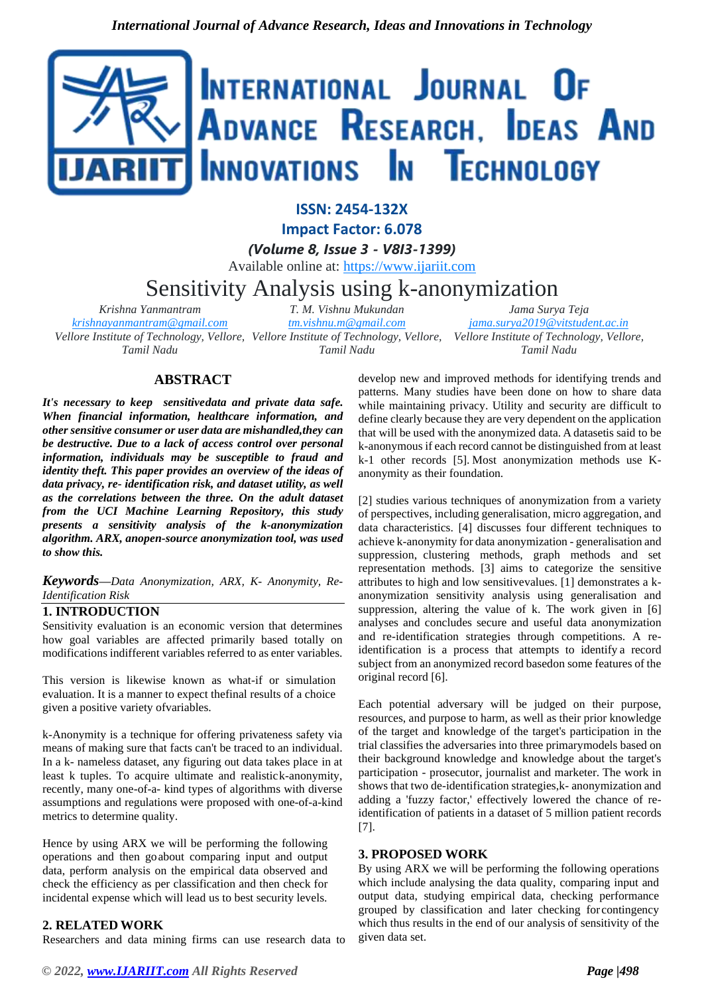

**ISSN: 2454-132X Impact Factor: 6.078**

*(Volume 8, Issue 3 - V8I3-1399)*

Available online at: [https://www.ijariit.com](https://www.ijariit.com/?utm_source=pdf&utm_medium=edition&utm_campaign=OmAkSols&utm_term=V8I3-1399)

Sensitivity Analysis using k-anonymization

*Krishna Yanmantram [krishnayanmantram@gmail.com](mailto:krishnayanmantram@gmail.com)*

*Tamil Nadu*

*T. M. Vishnu Mukundan*

*Vellore Institute of Technology, Vellore, Vellore Institute of Technology, Vellore, Vellore Institute of Technology, Vellore, [tm.vishnu.m@gmail.com](mailto:tm.vishnu.m@gmail.com) Tamil Nadu [jama.surya2019@vitstudent.ac.in](mailto:jama.surya2019@vitstudent.ac.in) Tamil Nadu*

# **ABSTRACT**

*It's necessary to keep sensitivedata and private data safe. When financial information, healthcare information, and other sensitive consumer or user data are mishandled,they can be destructive. Due to a lack of access control over personal information, individuals may be susceptible to fraud and identity theft. This paper provides an overview of the ideas of data privacy, re- identification risk, and dataset utility, as well as the correlations between the three. On the adult dataset from the UCI Machine Learning Repository, this study presents a sensitivity analysis of the k-anonymization algorithm. ARX, anopen-source anonymization tool, was used to show this.*

*Keywords—Data Anonymization, ARX, K- Anonymity, Re-Identification Risk*

### **1. INTRODUCTION**

Sensitivity evaluation is an economic version that determines how goal variables are affected primarily based totally on modifications indifferent variables referred to as enter variables.

This version is likewise known as what-if or simulation evaluation. It is a manner to expect thefinal results of a choice given a positive variety ofvariables.

k-Anonymity is a technique for offering privateness safety via means of making sure that facts can't be traced to an individual. In a k- nameless dataset, any figuring out data takes place in at least k tuples. To acquire ultimate and realistick-anonymity, recently, many one-of-a- kind types of algorithms with diverse assumptions and regulations were proposed with one-of-a-kind metrics to determine quality.

Hence by using ARX we will be performing the following operations and then goabout comparing input and output data, perform analysis on the empirical data observed and check the efficiency as per classification and then check for incidental expense which will lead us to best security levels.

## **2. RELATED WORK**

Researchers and data mining firms can use research data to

develop new and improved methods for identifying trends and patterns. Many studies have been done on how to share data while maintaining privacy. Utility and security are difficult to define clearly because they are very dependent on the application that will be used with the anonymized data. A datasetis said to be k-anonymous if each record cannot be distinguished from at least k-1 other records [5]. Most anonymization methods use Kanonymity as their foundation.

*Jama Surya Teja*

[2] studies various techniques of anonymization from a variety of perspectives, including generalisation, micro aggregation, and data characteristics. [4] discusses four different techniques to achieve k-anonymity for data anonymization - generalisation and suppression, clustering methods, graph methods and set representation methods. [3] aims to categorize the sensitive attributes to high and low sensitivevalues. [1] demonstrates a kanonymization sensitivity analysis using generalisation and suppression, altering the value of k. The work given in [6] analyses and concludes secure and useful data anonymization and re-identification strategies through competitions. A reidentification is a process that attempts to identify a record subject from an anonymized record basedon some features of the original record [6].

Each potential adversary will be judged on their purpose, resources, and purpose to harm, as well as their prior knowledge of the target and knowledge of the target's participation in the trial classifies the adversaries into three primarymodels based on their background knowledge and knowledge about the target's participation - prosecutor, journalist and marketer. The work in shows that two de-identification strategies,k- anonymization and adding a 'fuzzy factor,' effectively lowered the chance of reidentification of patients in a dataset of 5 million patient records [7].

### **3. PROPOSED WORK**

By using ARX we will be performing the following operations which include analysing the data quality, comparing input and output data, studying empirical data, checking performance grouped by classification and later checking for contingency which thus results in the end of our analysis of sensitivity of the given data set.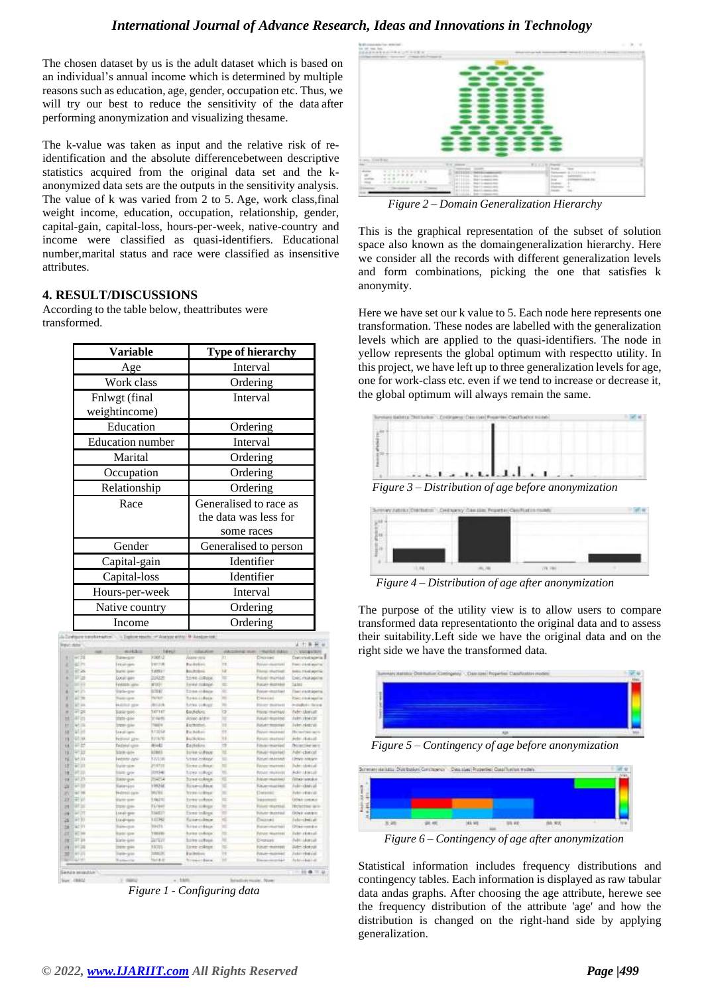## *International Journal of Advance Research, Ideas and Innovations in Technology*

The chosen dataset by us is the adult dataset which is based on an individual's annual income which is determined by multiple reasons such as education, age, gender, occupation etc. Thus, we will try our best to reduce the sensitivity of the data after performing anonymization and visualizing thesame.

The k-value was taken as input and the relative risk of reidentification and the absolute differencebetween descriptive statistics acquired from the original data set and the kanonymized data sets are the outputs in the sensitivity analysis. The value of k was varied from 2 to 5. Age, work class,final weight income, education, occupation, relationship, gender, capital-gain, capital-loss, hours-per-week, native-country and income were classified as quasi-identifiers. Educational number,marital status and race were classified as insensitive attributes.

# **4. RESULT/DISCUSSIONS**

According to the table below, theattributes were transformed.

| Variable                | <b>Type of hierarchy</b> |  |  |  |
|-------------------------|--------------------------|--|--|--|
| Age                     | Interval                 |  |  |  |
| Work class              | Ordering                 |  |  |  |
| Fnlwgt (final           | Interval                 |  |  |  |
| weightincome)           |                          |  |  |  |
| Education               | Ordering                 |  |  |  |
| <b>Education</b> number | Interval                 |  |  |  |
| Marital                 | Ordering                 |  |  |  |
| Occupation              | Ordering                 |  |  |  |
| Relationship            | Ordering                 |  |  |  |
| Race                    | Generalised to race as   |  |  |  |
|                         | the data was less for    |  |  |  |
|                         | some races               |  |  |  |
| Gender                  | Generalised to person    |  |  |  |
| Capital-gain            | Identifier               |  |  |  |
| Capital-loss            | Identifier               |  |  |  |
| Hours-per-week          | Interval                 |  |  |  |
| Native country          | Ordering                 |  |  |  |
| Income                  | Ordering                 |  |  |  |

| <b>Digital</b> : Maltal |                |                        |                    |                          |            |                                    | 4 市美新 4                     |
|-------------------------|----------------|------------------------|--------------------|--------------------------|------------|------------------------------------|-----------------------------|
|                         |                | workship.              | <b>COLLEGE AND</b> | 17. SEAUCH               |            | ARCORAGE WAR: HRANDA VALUE         | L.C. VISORADORI             |
| ٠                       | $=128$         | Transport              | 20003              | <b>VARRY VICE</b>        | m          | Distribut                          | Decembrate in I             |
| z                       | at in          | <b>Triple gale</b>     | <b>SETTA</b>       | <b>Building</b>          | <b>ITE</b> | tari)                              | Form #414 april at          |
| ٠                       | 47.26          | <b>National Agency</b> | 1,0031             | <b>BALTIMORE</b>         | tar.       | <b>Elektric Highlight</b>          | <b>Solici Fluid Abrilla</b> |
| ٠                       | 树油             | <b>COOK WHY</b>        | 3,6225             | <b>Sinks critical</b>    | m          | Polivici murdadi                   | Dec ricklesse               |
| ٠                       | $-111$         | <b>HARRIS GAME</b>     | MARIT              | <b>Environment</b>       | m.         | <b>FUILAIN RESERVAL</b>            | <b>SAME</b>                 |
| ä                       | 4125           | THIS-DIV               | <b>SERVICE</b>     | <b>Scientistical</b>     | $\equiv$   | Polyter-vitatment                  | Then excepted               |
| ٠                       | ALT THE        | Tuckingha              | TUTUS.             | <b>Banks and exist</b>   | ⋍          | Courses                            | <b>Earl Histogrite</b>      |
| ٠                       | <b>SET DIA</b> | <b>Hubball page</b>    | <b>BIGIN</b>       | heres college:           | m          | <b>Rolland Palatine 44</b>         | <b>HosPirt</b> : Scien      |
| ٠                       | 41.26          | Sale poc-              | <b>SAYLEY</b>      | <b>Buckelong</b>         | <b>I3</b>  | Printer-Imamigo                    | Admissional!                |
| и                       | at in          | $2043 - 444$           | 116490             | Anno alder               | w          | <b>Pulset Matrixe</b>              | <b>Julet Virginia</b>       |
| m                       | 65.00          | <b>STATE-GIM</b>       | TAKE 6             | Eschiston,               | m          | <b>Punjan meetings</b>             | Arbeitekende                |
| $\mathbf{H}$            | W. pr          | <b>Local cars</b>      | 3.7.02.5.8         | <b>Building</b>          | m          | Fourier museum                     | <b>Newtherness</b>          |
| 15                      | GIT FAX        | Federal Jaw            | 1216741            | <b>BallSchool</b>        | w          | <b>Pulmant</b> , must twist        | Administrati.               |
| 1.8                     | 甲醇             | <b>Tadmiel</b> sprin-  | anato              | <b>Dasholons</b>         | m          | Edmontoniansias                    | Primarillan were            |
| n                       | 学生的            | <b>SOUR-GO-</b>        | <b>STARS</b>       | <b>Banke-Oldson</b>      | w          | Finusy-Harrison                    | Advi-clonge                 |
| ti.                     | W: 33          | Interes cow            | Millis             | <b>Stated college:</b>   | ÷          | Nintant-relationship               | Only move                   |
| 12                      | WE 3/3         | <b>Studier roller</b>  | P1.87.11           | Sinner andlessen         | ш          | Edmont rima is more in             | hake-abband-                |
| w                       | API 33.        | <b>State-gow</b>       | ENS NET            | how miles.               | w          | <b>PUCKUP INVESTIGATI</b>          | Advised MA                  |
| 13                      | $4 - 23$       | Entrepok               | 204234             | forest collision:        | 理          | Principe-receiving)                | Direct statute.             |
| в                       | <b>HUS</b>     | Elabergos              | y uno car.         | <b>Birea-colour</b>      | u          | <b>Neuermanned</b>                 | Addred to call              |
| и                       | 4116           | <b>Nutreal date:</b>   | 96/95              | <b>Syrie United</b>      | ٠          | <b>University</b>                  | <b>Administrato</b>         |
| 23                      | ae w           | <b>EUGINE</b>          | 166211             | bone inform.             | ш          | <b>Separated:</b>                  | <b>ORAY DIVIER</b>          |
| н                       | <b>WE but</b>  | Date gas               | TL/B#F             | Livro milega             | w          | Folum married                      | <b>Hylettee</b> are         |
| m                       | WOT            | Louis por              | 114827             | Ever todays:             | $=$        | <b>Pulluler sketchild</b>          | Other statest               |
| ы                       | 4133           | <b>Lind-ten</b>        | 11:36              | fund-tobbes.             | ×          | Courses                            | (skinderist)                |
| ы                       | SAD 315        | Baltimore,             | <b>WENTH</b>       | <b>Bridge of Fillene</b> | m          | <b>Protogrammed fast</b>           | Otelmerke                   |
| и                       | <b>AC</b> Int  | <b>Burker Green</b>    | 1984年1             | haves collected          | m          | Pulluper missionist                | Administrati                |
| н                       | 2134           | <b>Socie-gove</b>      | <b>SUITER</b>      | Eirbe inflate.           | ш          | <b>CHOLIS</b>                      | Newcastle                   |
| и                       | <b>MT36</b>    | <b>Inster grass</b>    | 13,725             | liner colore :           | ш          | <b><i><u>International</u></i></b> | Altro densit                |
| Ħ                       | 48.14          | Torb-gro               | <b>SERVICE</b>     | Earthwicker              | m          | Princen-weekslage                  | Sakehriderizati             |
| ٠                       | 62.95          | <b>Baskette</b>        | <b>National</b>    | <b>Streaker</b> Baker    | m          | <b>Researched</b>                  | helm-vikelindi              |
|                         |                |                        |                    |                          |            |                                    |                             |

*Figure 1 - Configuring data*



*Figure 2 – Domain Generalization Hierarchy*

This is the graphical representation of the subset of solution space also known as the domaingeneralization hierarchy. Here we consider all the records with different generalization levels and form combinations, picking the one that satisfies k anonymity.

Here we have set our k value to 5. Each node here represents one transformation. These nodes are labelled with the generalization levels which are applied to the quasi-identifiers. The node in yellow represents the global optimum with respectto utility. In this project, we have left up to three generalization levels for age, one for work-class etc. even if we tend to increase or decrease it, the global optimum will always remain the same.



*Figure 3 – Distribution of age before anonymization*



*Figure 4 – Distribution of age after anonymization*

The purpose of the utility view is to allow users to compare transformed data representationto the original data and to assess their suitability.Left side we have the original data and on the right side we have the transformed data.



*Figure 5 – Contingency of age before anonymization*



*Figure 6 – Contingency of age after anonymization*

Statistical information includes frequency distributions and contingency tables. Each information is displayed as raw tabular data andas graphs. After choosing the age attribute, herewe see the frequency distribution of the attribute 'age' and how the distribution is changed on the right-hand side by applying generalization.

Sign: 19942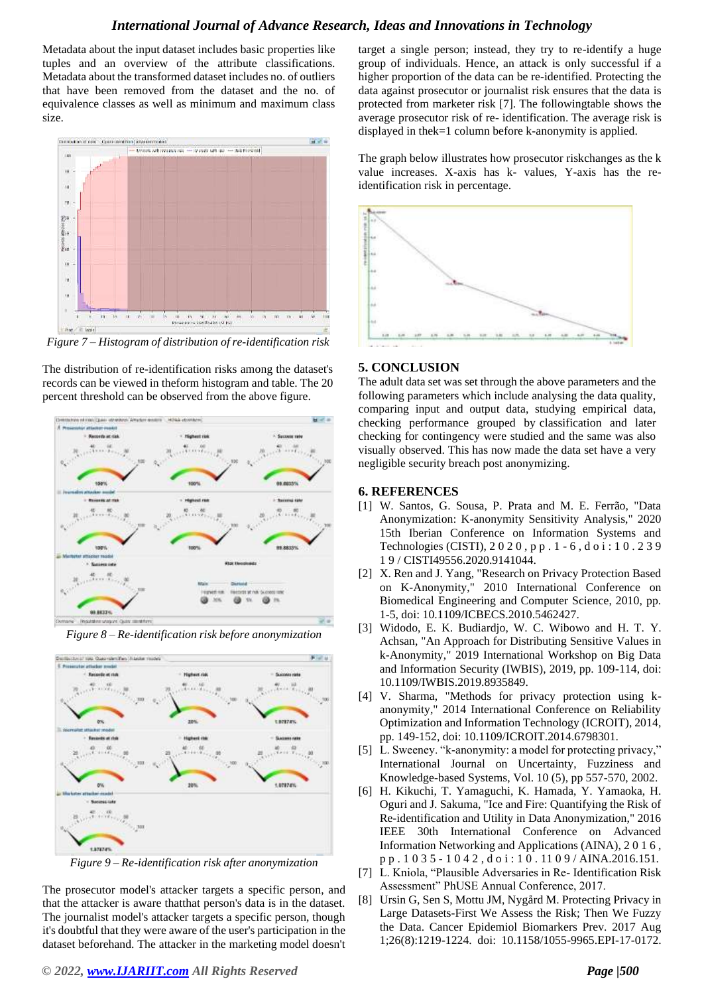## *International Journal of Advance Research, Ideas and Innovations in Technology*

Metadata about the input dataset includes basic properties like tuples and an overview of the attribute classifications. Metadata about the transformed dataset includes no. of outliers that have been removed from the dataset and the no. of equivalence classes as well as minimum and maximum class size.



*Figure 7 – Histogram of distribution of re-identification risk*

The distribution of re-identification risks among the dataset's records can be viewed in theform histogram and table. The 20 percent threshold can be observed from the above figure.





*Figure 8 – Re-identification risk before anonymization*

*Figure 9 – Re-identification risk after anonymization*

The prosecutor model's attacker targets a specific person, and that the attacker is aware thatthat person's data is in the dataset. The journalist model's attacker targets a specific person, though it's doubtful that they were aware of the user's participation in the dataset beforehand. The attacker in the marketing model doesn't

*© 2022[, www.IJARIIT.com](file:///C:/omak/Downloads/www.IJARIIT.com) All Rights Reserved Page |500*

target a single person; instead, they try to re-identify a huge group of individuals. Hence, an attack is only successful if a higher proportion of the data can be re-identified. Protecting the data against prosecutor or journalist risk ensures that the data is protected from marketer risk [7]. The followingtable shows the average prosecutor risk of re- identification. The average risk is displayed in thek=1 column before k-anonymity is applied.

The graph below illustrates how prosecutor riskchanges as the k value increases. X-axis has k- values, Y-axis has the reidentification risk in percentage.



#### **5. CONCLUSION**

The adult data set was set through the above parameters and the following parameters which include analysing the data quality, comparing input and output data, studying empirical data, checking performance grouped by classification and later checking for contingency were studied and the same was also visually observed. This has now made the data set have a very negligible security breach post anonymizing.

#### **6. REFERENCES**

- [1] W. Santos, G. Sousa, P. Prata and M. E. Ferrão, "Data Anonymization: K-anonymity Sensitivity Analysis," 2020 15th Iberian Conference on Information Systems and Technologies (CISTI), 2 0 2 0 , p p . 1 - 6 , d o i : 1 0 . 2 3 9 1 9 / CISTI49556.2020.9141044.
- [2] X. Ren and J. Yang, "Research on Privacy Protection Based on K-Anonymity," 2010 International Conference on Biomedical Engineering and Computer Science, 2010, pp. 1-5, doi: 10.1109/ICBECS.2010.5462427.
- [3] Widodo, E. K. Budiardjo, W. C. Wibowo and H. T. Y. Achsan, "An Approach for Distributing Sensitive Values in k-Anonymity," 2019 International Workshop on Big Data and Information Security (IWBIS), 2019, pp. 109-114, doi: 10.1109/IWBIS.2019.8935849.
- [4] V. Sharma, "Methods for privacy protection using kanonymity," 2014 International Conference on Reliability Optimization and Information Technology (ICROIT), 2014, pp. 149-152, doi: 10.1109/ICROIT.2014.6798301.
- [5] L. Sweeney. "k-anonymity: a model for protecting privacy," International Journal on Uncertainty, Fuzziness and Knowledge-based Systems, Vol. 10 (5), pp 557-570, 2002.
- [6] H. Kikuchi, T. Yamaguchi, K. Hamada, Y. Yamaoka, H. Oguri and J. Sakuma, "Ice and Fire: Quantifying the Risk of Re-identification and Utility in Data Anonymization," 2016 IEEE 30th International Conference on Advanced Information Networking and Applications (AINA), 2 0 1 6 , p p . 1 0 3 5 - 1 0 4 2 , d o i : 1 0 . 11 0 9 / AINA.2016.151.
- [7] L. Kniola, "Plausible Adversaries in Re- Identification Risk Assessment" PhUSE Annual Conference, 2017.
- [8] Ursin G, Sen S, Mottu JM, Nygård M. Protecting Privacy in Large Datasets-First We Assess the Risk; Then We Fuzzy the Data. Cancer Epidemiol Biomarkers Prev. 2017 Aug 1;26(8):1219-1224. doi: 10.1158/1055-9965.EPI-17-0172.